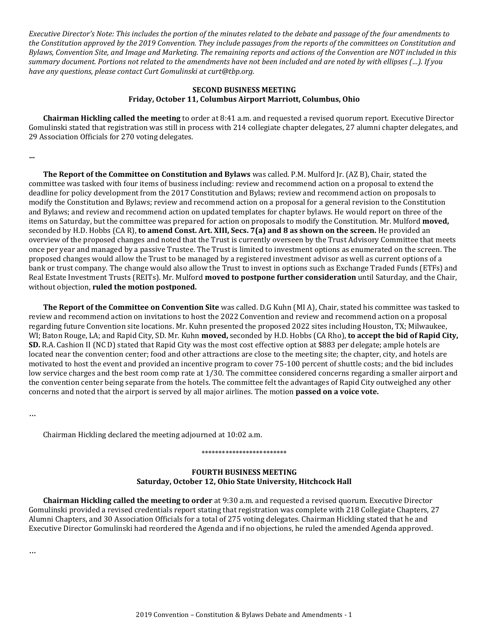*Executive Director's Note: This includes the portion of the minutes related to the debate and passage of the four amendments to the Constitution approved by the 2019 Convention. They include passages from the reports of the committees on Constitution and Bylaws, Convention Site, and Image and Marketing. The remaining reports and actions of the Convention are NOT included in this summary document. Portions not related to the amendments have not been included and are noted by with ellipses (…). If you have any questions, please contact Curt Gomulinski at curt@tbp.org.*

## **SECOND BUSINESS MEETING Friday, October 11, Columbus Airport Marriott, Columbus, Ohio**

**Chairman Hickling called the meeting** to order at 8:41 a.m. and requested a revised quorum report. Executive Director Gomulinski stated that registration was still in process with 214 collegiate chapter delegates, 27 alumni chapter delegates, and 29 Association Officials for 270 voting delegates.

**…**

**The Report of the Committee on Constitution and Bylaws** was called. P.M. Mulford Jr. (AZ B), Chair, stated the committee was tasked with four items of business including: review and recommend action on a proposal to extend the deadline for policy development from the 2017 Constitution and Bylaws; review and recommend action on proposals to modify the Constitution and Bylaws; review and recommend action on a proposal for a general revision to the Constitution and Bylaws; and review and recommend action on updated templates for chapter bylaws. He would report on three of the items on Saturday, but the committee was prepared for action on proposals to modify the Constitution. Mr. Mulford **moved,** seconded by H.D. Hobbs (CA R), **to amend Const. Art. XIII, Secs. 7(a) and 8 as shown on the screen.** He provided an overview of the proposed changes and noted that the Trust is currently overseen by the Trust Advisory Committee that meets once per year and managed by a passive Trustee. The Trust is limited to investment options as enumerated on the screen. The proposed changes would allow the Trust to be managed by a registered investment advisor as well as current options of a bank or trust company. The change would also allow the Trust to invest in options such as Exchange Traded Funds (ETFs) and Real Estate Investment Trusts (REITs). Mr. Mulford **moved to postpone further consideration** until Saturday, and the Chair, without objection, **ruled the motion postponed.**

**The Report of the Committee on Convention Site** was called. D.G Kuhn (MI A), Chair, stated his committee was tasked to review and recommend action on invitations to host the 2022 Convention and review and recommend action on a proposal regarding future Convention site locations. Mr. Kuhn presented the proposed 2022 sites including Houston, TX; Milwaukee, WI; Baton Rouge, LA; and Rapid City, SD. Mr. Kuhn **moved,** seconded by H.D. Hobbs (CA Rho), **to accept the bid of Rapid City, SD.** R.A. Cashion II (NC D) stated that Rapid City was the most cost effective option at \$883 per delegate; ample hotels are located near the convention center; food and other attractions are close to the meeting site; the chapter, city, and hotels are motivated to host the event and provided an incentive program to cover 75-100 percent of shuttle costs; and the bid includes low service charges and the best room comp rate at 1/30. The committee considered concerns regarding a smaller airport and the convention center being separate from the hotels. The committee felt the advantages of Rapid City outweighed any other concerns and noted that the airport is served by all major airlines. The motion **passed on a voice vote.**

…

Chairman Hickling declared the meeting adjourned at 10:02 a.m.

### \*\*\*\*\*\*\*\*\*\*\*\*\*\*\*\*\*\*\*\*\*\*\*\*\*

## **FOURTH BUSINESS MEETING Saturday, October 12, Ohio State University, Hitchcock Hall**

**Chairman Hickling called the meeting to order** at 9:30 a.m. and requested a revised quorum. Executive Director Gomulinski provided a revised credentials report stating that registration was complete with 218 Collegiate Chapters, 27 Alumni Chapters, and 30 Association Officials for a total of 275 voting delegates. Chairman Hickling stated that he and Executive Director Gomulinski had reordered the Agenda and if no objections, he ruled the amended Agenda approved.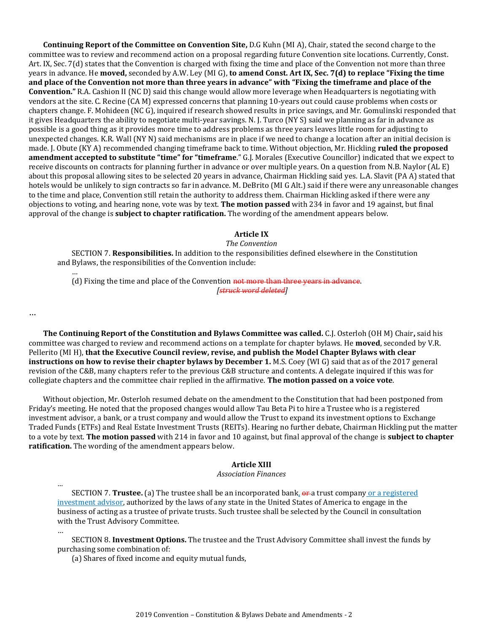**Continuing Report of the Committee on Convention Site,** D.G Kuhn (MI A), Chair, stated the second charge to the committee was to review and recommend action on a proposal regarding future Convention site locations. Currently, Const. Art. IX, Sec. 7(d) states that the Convention is charged with fixing the time and place of the Convention not more than three years in advance. He **moved,** seconded by A.W. Ley (MI G), **to amend Const. Art IX, Sec. 7(d) to replace "Fixing the time and place of the Convention not more than three years in advance" with "Fixing the timeframe and place of the Convention."** R.A. Cashion II (NC D) said this change would allow more leverage when Headquarters is negotiating with vendors at the site. C. Recine (CA M) expressed concerns that planning 10-years out could cause problems when costs or chapters change. F. Mohideen (NC G), inquired if research showed results in price savings, and Mr. Gomulinski responded that it gives Headquarters the ability to negotiate multi-year savings. N. J. Turco (NY S) said we planning as far in advance as possible is a good thing as it provides more time to address problems as three years leaves little room for adjusting to unexpected changes. K.R. Wall (NY N) said mechanisms are in place if we need to change a location after an initial decision is made. J. Obute (KY A) recommended changing timeframe back to time. Without objection, Mr. Hickling **ruled the proposed amendment accepted to substitute "time" for "timeframe**." G.J. Morales (Executive Councillor) indicated that we expect to receive discounts on contracts for planning further in advance or over multiple years. On a question from N.B. Naylor (AL E) about this proposal allowing sites to be selected 20 years in advance, Chairman Hickling said yes. L.A. Slavit (PA A) stated that hotels would be unlikely to sign contracts so far in advance. M. DeBrito (MI G Alt.) said if there were any unreasonable changes to the time and place, Convention still retain the authority to address them. Chairman Hickling asked if there were any objections to voting, and hearing none, vote was by text. **The motion passed** with 234 in favor and 19 against, but final approval of the change is **subject to chapter ratification.** The wording of the amendment appears below.

### **Article IX**

*The Convention*

SECTION 7. **Responsibilities.** In addition to the responsibilities defined elsewhere in the Constitution and Bylaws, the responsibilities of the Convention include:

(d) Fixing the time and place of the Convention not more than three years in advance. *[struck word deleted]*

…

…

*…*

…

**The Continuing Report of the Constitution and Bylaws Committee was called.** C.J. Osterloh (OH M) Chair**,** said his committee was charged to review and recommend actions on a template for chapter bylaws. He **moved**, seconded by V.R. Pellerito (MI H), **that the Executive Council review, revise, and publish the Model Chapter Bylaws with clear instructions on how to revise their chapter bylaws by December 1.** M.S. Coey (WI G) said that as of the 2017 general revision of the C&B, many chapters refer to the previous C&B structure and contents. A delegate inquired if this was for collegiate chapters and the committee chair replied in the affirmative. **The motion passed on a voice vote**.

Without objection, Mr. Osterloh resumed debate on the amendment to the Constitution that had been postponed from Friday's meeting. He noted that the proposed changes would allow Tau Beta Pi to hire a Trustee who is a registered investment advisor, a bank, or a trust company and would allow the Trust to expand its investment options to Exchange Traded Funds (ETFs) and Real Estate Investment Trusts (REITs). Hearing no further debate, Chairman Hickling put the matter to a vote by text. **The motion passed** with 214 in favor and 10 against, but final approval of the change is **subject to chapter ratification.** The wording of the amendment appears below.

#### **Article XIII**

## *Association Finances*

SECTION 7. **Trustee.** (a) The trustee shall be an incorporated bank, or a trust company or a registered investment advisor, authorized by the laws of any state in the United States of America to engage in the business of acting as a trustee of private trusts. Such trustee shall be selected by the Council in consultation with the Trust Advisory Committee.

SECTION 8. **Investment Options.** The trustee and the Trust Advisory Committee shall invest the funds by purchasing some combination of:

(a) Shares of fixed income and equity mutual funds,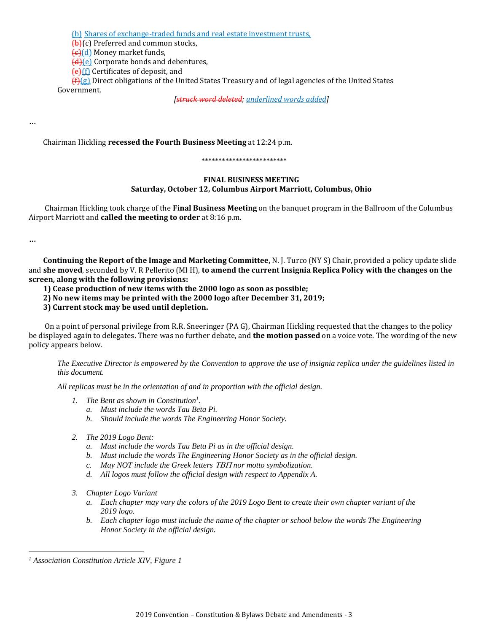(b) Shares of exchange-traded funds and real estate investment trusts,

**(b)(c)** Preferred and common stocks,

(c)(d) Money market funds,

(d)(e) Corporate bonds and debentures,

(e)(f) Certificates of deposit, and

 $f(f)(g)$  Direct obligations of the United States Treasury and of legal agencies of the United States Government.

*[struck word deleted; underlined words added]*

…

Chairman Hickling **recessed the Fourth Business Meeting** at 12:24 p.m.

## \*\*\*\*\*\*\*\*\*\*\*\*\*\*\*\*\*\*\*\*\*\*\*\*\*

# **FINAL BUSINESS MEETING Saturday, October 12, Columbus Airport Marriott, Columbus, Ohio**

Chairman Hickling took charge of the **Final Business Meeting** on the banquet program in the Ballroom of the Columbus Airport Marriott and **called the meeting to order** at 8:16 p.m.

…

 $\overline{\phantom{a}}$ 

**Continuing the Report of the Image and Marketing Committee,** N. J. Turco (NY S) Chair, provided a policy update slide and **she moved**, seconded by V. R Pellerito (MI H), **to amend the current Insignia Replica Policy with the changes on the screen, along with the following provisions:**

**1) Cease production of new items with the 2000 logo as soon as possible;** 

**2) No new items may be printed with the 2000 logo after December 31, 2019;** 

## **3) Current stock may be used until depletion.**

On a point of personal privilege from R.R. Sneeringer (PA G), Chairman Hickling requested that the changes to the policy be displayed again to delegates. There was no further debate, and **the motion passed** on a voice vote. The wording of the new policy appears below.

*The Executive Director is empowered by the Convention to approve the use of insignia replica under the guidelines listed in this document.*

*All replicas must be in the orientation of and in proportion with the official design.*

- *1. The Bent as shown in Constitution<sup>1</sup> .*
	- *a. Must include the words Tau Beta Pi.*
	- *b. Should include the words The Engineering Honor Society.*
- *2. The 2019 Logo Bent:*
	- *a. Must include the words Tau Beta Pi as in the official design.*
	- *b. Must include the words The Engineering Honor Society as in the official design.*
	- *c.* May NOT include the Greek letters TBII nor motto symbolization.
	- *d. All logos must follow the official design with respect to Appendix A.*
- *3. Chapter Logo Variant*
	- *a. Each chapter may vary the colors of the 2019 Logo Bent to create their own chapter variant of the 2019 logo.*
	- *b. Each chapter logo must include the name of the chapter or school below the words The Engineering Honor Society in the official design.*

*<sup>1</sup> Association Constitution Article XIV, Figure 1*